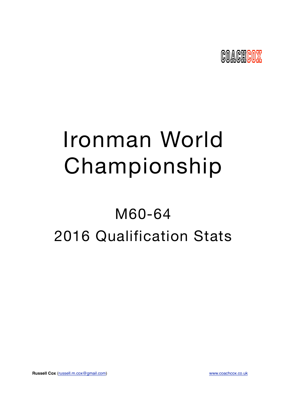

# Ironman World Championship

## M60-64 2016 Qualification Stats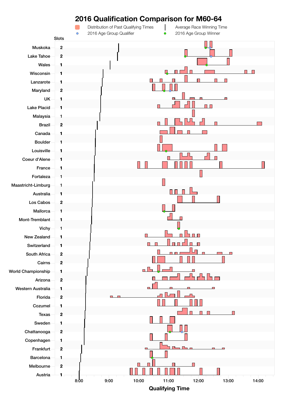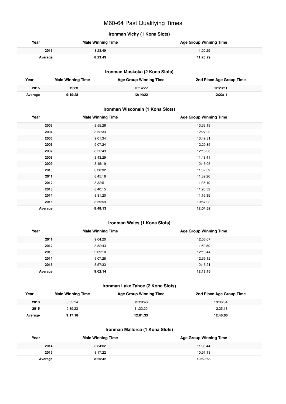## M60-64 Past Qualifying Times

## **Ironman Vichy (1 Kona Slots)**

| Year    | <b>Male Winning Time</b> | <b>Age Group Winning Time</b> |
|---------|--------------------------|-------------------------------|
| 2015    | 8:23:49                  | 11:20:29                      |
| Average | 8:23:49                  | 11:20:29                      |

## **Ironman Muskoka (2 Kona Slots)**

| Year    | <b>Male Winning Time</b> | <b>Age Group Winning Time</b> | 2nd Place Age Group Time |
|---------|--------------------------|-------------------------------|--------------------------|
| 2015    | 9:19:28                  | 12:14:22                      | 12:23:11                 |
| Average | 9:19:28                  | 12:14:22                      | 12:23:11                 |

## **Ironman Wisconsin (1 Kona Slots)**

| Year    | <b>Male Winning Time</b> | <b>Age Group Winning Time</b> |
|---------|--------------------------|-------------------------------|
| 2003    | 8:55:26                  | 13:33:19                      |
| 2004    | 8:52:33                  | 12:27:28                      |
| 2005    | 9:01:34                  | 13:49:31                      |
| 2006    | 9:07:24                  | 12:29:35                      |
| 2007    | 8:52:49                  | 12:18:08                      |
| 2008    | 8:43:29                  | 11:43:41                      |
| 2009    | 8:45:19                  | 12:16:05                      |
| 2010    | 8:38:32                  | 11:32:59                      |
| 2011    | 8:45:18                  | 11:32:26                      |
| 2012    | 8:32:51                  | 11:35:19                      |
| 2013    | 8:40:15                  | 11:26:52                      |
| 2014    | 8:31:20                  | 11:16:35                      |
| 2015    | 8:59:59                  | 10:57:03                      |
| Average | 8:48:13                  | 12:04:32                      |

## **Ironman Wales (1 Kona Slots)**

| Year    | <b>Male Winning Time</b> | <b>Age Group Winning Time</b> |
|---------|--------------------------|-------------------------------|
| 2011    | 9:04:20                  | 12:05:07                      |
| 2012    | 8:52:43                  | 11:59:59                      |
| 2013    | 9:09:10                  | 12:10:44                      |
| 2014    | 9:07:28                  | 12:59:12                      |
| 2015    | 8:57:33                  | 12:16:21                      |
| Average | 9:02:14                  | 12:18:16                      |

## **Ironman Lake Tahoe (2 Kona Slots)**

| Year    | <b>Male Winning Time</b> | <b>Age Group Winning Time</b> | 2nd Place Age Group Time |
|---------|--------------------------|-------------------------------|--------------------------|
| 2013    | 8:55:14                  | 12:29:46                      | 13:06:54                 |
| 2015    | 9:39:23                  | 11:33:20                      | 12:25:18                 |
| Average | 9:17:18                  | 12:01:33                      | 12:46:06                 |

## **Ironman Mallorca (1 Kona Slots)**

| Year    | <b>Male Winning Time</b> | <b>Age Group Winning Time</b> |
|---------|--------------------------|-------------------------------|
| 2014    | 8:34:02                  | 11:08:44                      |
| 2015    | 8:17:22                  | 10:51:13                      |
| Average | 8:25:42                  | 10:59:58                      |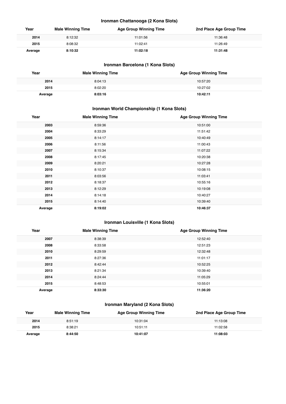## **Ironman Chattanooga (2 Kona Slots)**

| Year    | <b>Male Winning Time</b> | <b>Age Group Winning Time</b> | 2nd Place Age Group Time |
|---------|--------------------------|-------------------------------|--------------------------|
| 2014    | 8:12:32                  | 11:01:56                      | 11:36:48                 |
| 2015    | 8:08:32                  | 11:02:41                      | 11:26:49                 |
| Average | 8:10:32                  | 11:02:18                      | 11:31:48                 |

## **Ironman Barcelona (1 Kona Slots)**

| Year    | <b>Male Winning Time</b> | <b>Age Group Winning Time</b> |
|---------|--------------------------|-------------------------------|
| 2014    | 8:04:13                  | 10:57:20                      |
| 2015    | 8:02:20                  | 10:27:02                      |
| Average | 8:03:16                  | 10:42:11                      |

## **Ironman World Championship (1 Kona Slots)**

| Year    | <b>Male Winning Time</b> | <b>Age Group Winning Time</b> |
|---------|--------------------------|-------------------------------|
| 2003    | 8:59:36                  | 10:51:00                      |
| 2004    | 8:33:29                  | 11:51:42                      |
| 2005    | 8:14:17                  | 10:40:49                      |
| 2006    | 8:11:56                  | 11:00:43                      |
| 2007    | 8:15:34                  | 11:07:22                      |
| 2008    | 8:17:45                  | 10:20:38                      |
| 2009    | 8:20:21                  | 10:27:28                      |
| 2010    | 8:10:37                  | 10:08:15                      |
| 2011    | 8:03:56                  | 11:03:41                      |
| 2012    | 8:18:37                  | 10:55:16                      |
| 2013    | 8:12:29                  | 10:19:08                      |
| 2014    | 8:14:18                  | 10:40:27                      |
| 2015    | 8:14:40                  | 10:39:40                      |
| Average | 8:19:02                  | 10:46:37                      |

## **Ironman Louisville (1 Kona Slots)**

| Year    | <b>Male Winning Time</b> | <b>Age Group Winning Time</b> |
|---------|--------------------------|-------------------------------|
| 2007    | 8:38:39                  | 12:52:40                      |
| 2008    | 8:33:58                  | 12:51:23                      |
| 2010    | 8:29:59                  | 12:32:48                      |
| 2011    | 8:27:36                  | 11:01:17                      |
| 2012    | 8:42:44                  | 10:52:25                      |
| 2013    | 8:21:34                  | 10:39:40                      |
| 2014    | 8:24:44                  | 11:05:29                      |
| 2015    | 8:48:53                  | 10:55:01                      |
| Average | 8:33:30                  | 11:36:20                      |

## **Ironman Maryland (2 Kona Slots)**

| Year    | <b>Male Winning Time</b> | <b>Age Group Winning Time</b> | 2nd Place Age Group Time |
|---------|--------------------------|-------------------------------|--------------------------|
| 2014    | 8:51:19                  | 10:31:04                      | 11:13:08                 |
| 2015    | 8:38:21                  | 10:51:11                      | 11:02:58                 |
| Average | 8:44:50                  | 10:41:07                      | 11:08:03                 |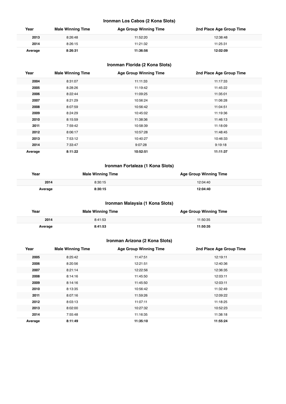## **Ironman Los Cabos (2 Kona Slots)**

| Year    | <b>Male Winning Time</b> | <b>Age Group Winning Time</b> | 2nd Place Age Group Time |
|---------|--------------------------|-------------------------------|--------------------------|
| 2013    | 8:26:48                  | 11:52:20                      | 12:38:48                 |
| 2014    | 8:26:15                  | 11:21:32                      | 11:25:31                 |
| Average | 8:26:31                  | 11:36:56                      | 12:02:09                 |

## **Ironman Florida (2 Kona Slots)**

| Year    | <b>Male Winning Time</b> | <b>Age Group Winning Time</b> | 2nd Place Age Group Time |
|---------|--------------------------|-------------------------------|--------------------------|
| 2004    | 8:31:07                  | 11:11:33                      | 11:17:33                 |
| 2005    | 8:28:26                  | 11:19:42                      | 11:45:22                 |
| 2006    | 8:22:44                  | 11:09:25                      | 11:35:01                 |
| 2007    | 8:21:29                  | 10:56:24                      | 11:06:28                 |
| 2008    | 8:07:59                  | 10:56:42                      | 11:04:51                 |
| 2009    | 8:24:29                  | 10:45:02                      | 11:19:36                 |
| 2010    | 8:15:59                  | 11:38:36                      | 11:46:13                 |
| 2011    | 7:59:42                  | 10:58:39                      | 11:18:09                 |
| 2012    | 8:06:17                  | 10:57:28                      | 11:48:45                 |
| 2013    | 7:53:12                  | 10:40:27                      | 10:46:33                 |
| 2014    | 7:33:47                  | 9:07:28                       | 9:19:18                  |
| Average | 8:11:22                  | 10:52:51                      | 11:11:37                 |

## **Ironman Fortaleza (1 Kona Slots)**

| Year    | <b>Male Winning Time</b> | <b>Age Group Winning Time</b> |
|---------|--------------------------|-------------------------------|
| 2014    | 8:30:15                  | 12:04:40                      |
| Average | 8:30:15                  | 12:04:40                      |

## **Ironman Malaysia (1 Kona Slots)**

| Year    | <b>Male Winning Time</b> | <b>Age Group Winning Time</b> |
|---------|--------------------------|-------------------------------|
| 2014    | 8:41:53                  | 11:50:35                      |
| Average | 8:41:53                  | 11:50:35                      |

## **Ironman Arizona (2 Kona Slots)**

| Year    | <b>Male Winning Time</b> | <b>Age Group Winning Time</b> | 2nd Place Age Group Time |
|---------|--------------------------|-------------------------------|--------------------------|
| 2005    | 8:25:42                  | 11:47:51                      | 12:19:11                 |
| 2006    | 8:20:56                  | 12:21:51                      | 12:40:36                 |
| 2007    | 8:21:14                  | 12:22:56                      | 12:36:35                 |
| 2008    | 8:14:16                  | 11:45:50                      | 12:03:11                 |
| 2009    | 8:14:16                  | 11:45:50                      | 12:03:11                 |
| 2010    | 8:13:35                  | 10:56:42                      | 11:32:49                 |
| 2011    | 8:07:16                  | 11:59:26                      | 12:09:22                 |
| 2012    | 8:03:13                  | 11:07:11                      | 11:18:25                 |
| 2013    | 8:02:00                  | 10:27:32                      | 10:52:23                 |
| 2014    | 7:55:48                  | 11:16:35                      | 11:38:18                 |
| Average | 8:11:49                  | 11:35:10                      | 11:55:24                 |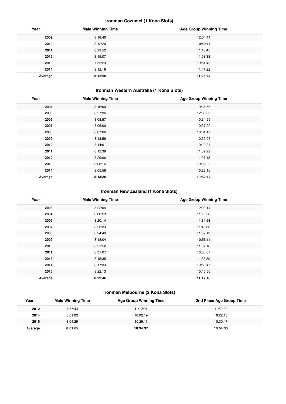## **Ironman Cozumel (1 Kona Slots)**

| Year    | <b>Male Winning Time</b> | <b>Age Group Winning Time</b> |
|---------|--------------------------|-------------------------------|
| 2009    | 8:18:40                  | 12:04:44                      |
| 2010    | 8:12:20                  | 10:40:11                      |
| 2011    | 8:23:52                  | 11:16:45                      |
| 2012    | 8:15:07                  | 11:53:38                      |
| 2013    | 7:55:23                  | 10:51:48                      |
| 2014    | 8:12:16                  | 11:47:22                      |
| Average | 8:12:56                  | 11:25:44                      |

## **Ironman Western Australia (1 Kona Slots)**

| Year    | <b>Male Winning Time</b> | <b>Age Group Winning Time</b> |
|---------|--------------------------|-------------------------------|
| 2004    | 8:16:00                  | 10:36:56                      |
| 2005    | 8:27:36                  | 12:30:36                      |
| 2006    | 8:08:57                  | 10:34:59                      |
| 2007    | 8:06:00                  | 10:37:29                      |
| 2008    | 8:07:06                  | 10:31:42                      |
| 2009    | 8:13:59                  | 10:32:06                      |
| 2010    | 8:14:01                  | 10:19:34                      |
| 2011    | 8:12:39                  | 11:39:22                      |
| 2012    | 8:29:06                  | 11:07:18                      |
| 2013    | 8:08:16                  | 10:36:22                      |
| 2014    | 8:05:58                  | 10:28:16                      |
| Average | 8:13:36                  | 10:52:14                      |

## **Ironman New Zealand (1 Kona Slots)**

| Year    | <b>Male Winning Time</b> | <b>Age Group Winning Time</b> |
|---------|--------------------------|-------------------------------|
| 2003    | 8:22:04                  | 12:00:14                      |
| 2004    | 8:30:29                  | 11:26:53                      |
| 2005    | 8:20:14                  | 11:34:58                      |
| 2007    | 8:26:33                  | 11:48:38                      |
| 2008    | 8:24:49                  | 11:39:19                      |
| 2009    | 8:18:04                  | 10:56:11                      |
| 2010    | 8:21:52                  | 11:07:16                      |
| 2011    | 8:31:07                  | 10:53:07                      |
| 2013    | 8:15:35                  | 11:33:39                      |
| 2014    | 8:17:33                  | 10:59:47                      |
| 2015    | 8:22:13                  | 10:15:50                      |
| Average | 8:22:46                  | 11:17:48                      |

## **Ironman Melbourne (2 Kona Slots)**

| Year    | <b>Male Winning Time</b> | <b>Age Group Winning Time</b> | 2nd Place Age Group Time |
|---------|--------------------------|-------------------------------|--------------------------|
| 2012    | 7:57:44                  | 11:12:21                      | 11:50:30                 |
| 2014    | 8:01:02                  | 10:02:19                      | 10:22:15                 |
| 2015    | 8:04:29                  | 10:29:11                      | 10:30:47                 |
| Average | 8:01:05                  | 10:34:37                      | 10:54:30                 |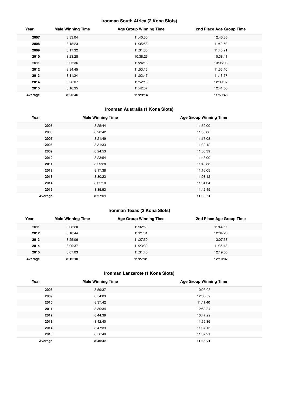## **Ironman South Africa (2 Kona Slots)**

| Year    | <b>Male Winning Time</b> | <b>Age Group Winning Time</b> | 2nd Place Age Group Time |
|---------|--------------------------|-------------------------------|--------------------------|
| 2007    | 8:33:04                  | 11:40:50                      | 12:43:35                 |
| 2008    | 8:18:23                  | 11:35:58                      | 11:42:59                 |
| 2009    | 8:17:32                  | 11:31:30                      | 11:46:21                 |
| 2010    | 8:23:28                  | 10:38:23                      | 10:38:41                 |
| 2011    | 8:05:36                  | 11:24:18                      | 13:06:03                 |
| 2012    | 8:34:45                  | 11:53:15                      | 11:55:40                 |
| 2013    | 8:11:24                  | 11:03:47                      | 11:13:57                 |
| 2014    | 8:26:07                  | 11:52:15                      | 12:09:07                 |
| 2015    | 8:16:35                  | 11:42:57                      | 12:41:50                 |
| Average | 8:20:46                  | 11:29:14                      | 11:59:48                 |

## **Ironman Australia (1 Kona Slots)**

| Year    | <b>Male Winning Time</b> | <b>Age Group Winning Time</b> |
|---------|--------------------------|-------------------------------|
| 2005    | 8:25:44                  | 11:52:00                      |
| 2006    | 8:20:42                  | 11:55:06                      |
| 2007    | 8:21:49                  | 11:17:08                      |
| 2008    | 8:31:33                  | 11:32:12                      |
| 2009    | 8:24:53                  | 11:30:39                      |
| 2010    | 8:23:54                  | 11:43:00                      |
| 2011    | 8:29:28                  | 11:42:38                      |
| 2012    | 8:17:38                  | 11:16:05                      |
| 2013    | 8:30:23                  | 11:03:12                      |
| 2014    | 8:35:18                  | 11:04:34                      |
| 2015    | 8:35:53                  | 11:42:49                      |
| Average | 8:27:01                  | 11:30:51                      |

## **Ironman Texas (2 Kona Slots)**

| Year    | <b>Male Winning Time</b> | <b>Age Group Winning Time</b> | 2nd Place Age Group Time |
|---------|--------------------------|-------------------------------|--------------------------|
| 2011    | 8:08:20                  | 11:32:59                      | 11:44:57                 |
| 2012    | 8:10:44                  | 11:21:31                      | 12:04:26                 |
| 2013    | 8:25:06                  | 11:27:50                      | 13:07:58                 |
| 2014    | 8:09:37                  | 11:23:32                      | 11:36:43                 |
| 2015    | 8:07:03                  | 11:31:46                      | 12:19:05                 |
| Average | 8:12:10                  | 11:27:31                      | 12:10:37                 |

## **Ironman Lanzarote (1 Kona Slots)**

| Year    | <b>Male Winning Time</b> | <b>Age Group Winning Time</b> |
|---------|--------------------------|-------------------------------|
| 2008    | 8:59:37                  | 10:23:03                      |
| 2009    | 8:54:03                  | 12:36:59                      |
| 2010    | 8:37:42                  | 11:11:40                      |
| 2011    | 8:30:34                  | 12:53:34                      |
| 2012    | 8:44:39                  | 10:47:22                      |
| 2013    | 8:42:40                  | 11:59:36                      |
| 2014    | 8:47:39                  | 11:37:15                      |
| 2015    | 8:56:49                  | 11:37:21                      |
| Average | 8:46:42                  | 11:38:21                      |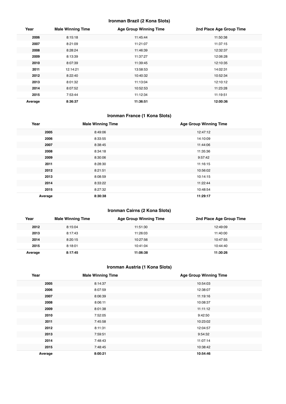## **Ironman Brazil (2 Kona Slots)**

| Year    | <b>Male Winning Time</b> | <b>Age Group Winning Time</b> | 2nd Place Age Group Time |
|---------|--------------------------|-------------------------------|--------------------------|
| 2006    | 8:15:18                  | 11:45:44                      | 11:50:38                 |
| 2007    | 8:21:09                  | 11:21:07                      | 11:37:15                 |
| 2008    | 8:28:24                  | 11:46:39                      | 12:32:37                 |
| 2009    | 8:13:39                  | 11:37:27                      | 12:06:28                 |
| 2010    | 8:07:39                  | 11:39:45                      | 12:10:35                 |
| 2011    | 12:14:21                 | 13:58:53                      | 14:02:31                 |
| 2012    | 8:22:40                  | 10:40:32                      | 10:52:34                 |
| 2013    | 8:01:32                  | 11:13:04                      | 12:10:12                 |
| 2014    | 8:07:52                  | 10:52:53                      | 11:23:28                 |
| 2015    | 7:53:44                  | 11:12:34                      | 11:19:51                 |
| Average | 8:36:37                  | 11:36:51                      | 12:00:36                 |

## **Ironman France (1 Kona Slots)**

| Year    | <b>Male Winning Time</b> | <b>Age Group Winning Time</b> |
|---------|--------------------------|-------------------------------|
| 2005    | 8:49:06                  | 12:47:12                      |
| 2006    | 8:33:55                  | 14:10:09                      |
| 2007    | 8:38:45                  | 11:44:06                      |
| 2008    | 8:34:18                  | 11:35:36                      |
| 2009    | 8:30:06                  | 9:57:42                       |
| 2011    | 8:28:30                  | 11:16:15                      |
| 2012    | 8:21:51                  | 10:56:02                      |
| 2013    | 8:08:59                  | 10:14:15                      |
| 2014    | 8:33:22                  | 11:22:44                      |
| 2015    | 8:27:32                  | 10:48:54                      |
| Average | 8:30:38                  | 11:29:17                      |

## **Ironman Cairns (2 Kona Slots)**

| Year    | <b>Male Winning Time</b> | <b>Age Group Winning Time</b> | 2nd Place Age Group Time |
|---------|--------------------------|-------------------------------|--------------------------|
| 2012    | 8:15:04                  | 11:51:30                      | 12:49:09                 |
| 2013    | 8:17:43                  | 11:26:03                      | 11:40:00                 |
| 2014    | 8:20:15                  | 10:27:56                      | 10:47:55                 |
| 2015    | 8:18:01                  | 10:41:04                      | 10:44:40                 |
| Average | 8:17:45                  | 11:06:38                      | 11:30:26                 |

## **Ironman Austria (1 Kona Slots)**

| Year    | <b>Male Winning Time</b> | <b>Age Group Winning Time</b> |
|---------|--------------------------|-------------------------------|
| 2005    | 8:14:37                  | 10:54:03                      |
| 2006    | 8:07:59                  | 12:38:07                      |
| 2007    | 8:06:39                  | 11:19:16                      |
| 2008    | 8:06:11                  | 10:08:37                      |
| 2009    | 8:01:38                  | 11:11:12                      |
| 2010    | 7:52:05                  | 9:42:50                       |
| 2011    | 7:45:58                  | 10:23:02                      |
| 2012    | 8:11:31                  | 12:04:57                      |
| 2013    | 7:59:51                  | 9:54:32                       |
| 2014    | 7:48:43                  | 11:07:14                      |
| 2015    | 7:48:45                  | 10:38:42                      |
| Average | 8:00:21                  | 10:54:46                      |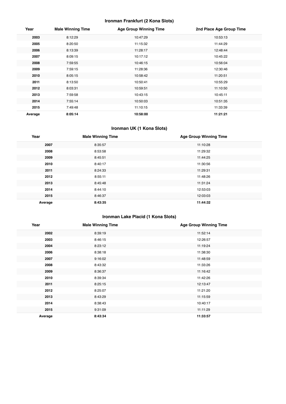## **Ironman Frankfurt (2 Kona Slots)**

| Year    | <b>Male Winning Time</b> | <b>Age Group Winning Time</b> | 2nd Place Age Group Time |
|---------|--------------------------|-------------------------------|--------------------------|
| 2003    | 8:12:29                  | 10:47:29                      | 10:53:13                 |
| 2005    | 8:20:50                  | 11:15:32                      | 11:44:29                 |
| 2006    | 8:13:39                  | 11:28:17                      | 12:48:44                 |
| 2007    | 8:09:15                  | 10:17:12                      | 10:45:22                 |
| 2008    | 7:59:55                  | 10:46:15                      | 10:56:04                 |
| 2009    | 7:59:15                  | 11:28:36                      | 12:30:46                 |
| 2010    | 8:05:15                  | 10:58:42                      | 11:20:51                 |
| 2011    | 8:13:50                  | 10:50:41                      | 10:55:29                 |
| 2012    | 8:03:31                  | 10:59:51                      | 11:10:50                 |
| 2013    | 7:59:58                  | 10:43:15                      | 10:45:11                 |
| 2014    | 7:55:14                  | 10:50:03                      | 10:51:35                 |
| 2015    | 7:49:48                  | 11:10:15                      | 11:33:39                 |
| Average | 8:05:14                  | 10:58:00                      | 11:21:21                 |

## **Ironman UK (1 Kona Slots)**

| Year    | <b>Male Winning Time</b> | <b>Age Group Winning Time</b> |
|---------|--------------------------|-------------------------------|
| 2007    | 8:35:57                  | 11:10:28                      |
| 2008    | 8:53:58                  | 11:29:32                      |
| 2009    | 8:45:51                  | 11:44:25                      |
| 2010    | 8:40:17                  | 11:30:56                      |
| 2011    | 8:24:33                  | 11:29:31                      |
| 2012    | 8:55:11                  | 11:48:26                      |
| 2013    | 8:45:48                  | 11:31:24                      |
| 2014    | 8:44:10                  | 12:53:03                      |
| 2015    | 8:46:37                  | 12:03:03                      |
| Average | 8:43:35                  | 11:44:32                      |

## **Ironman Lake Placid (1 Kona Slots)**

| Year    | <b>Male Winning Time</b> | <b>Age Group Winning Time</b> |
|---------|--------------------------|-------------------------------|
| 2002    | 8:39:19                  | 11:52:14                      |
| 2003    | 8:46:15                  | 12:26:57                      |
| 2004    | 8:23:12                  | 11:19:24                      |
| 2006    | 8:38:18                  | 11:38:30                      |
| 2007    | 9:16:02                  | 11:48:59                      |
| 2008    | 8:43:32                  | 11:33:26                      |
| 2009    | 8:36:37                  | 11:16:42                      |
| 2010    | 8:39:34                  | 11:42:26                      |
| 2011    | 8:25:15                  | 12:13:47                      |
| 2012    | 8:25:07                  | 11:21:20                      |
| 2013    | 8:43:29                  | 11:15:59                      |
| 2014    | 8:38:43                  | 10:40:17                      |
| 2015    | 9:31:09                  | 11:11:29                      |
| Average | 8:43:34                  | 11:33:57                      |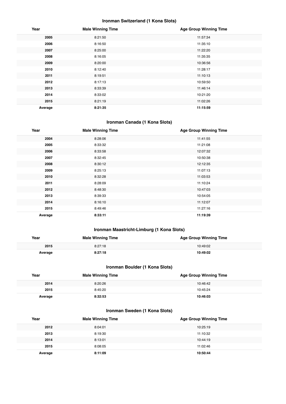## **Ironman Switzerland (1 Kona Slots)**

| Year    | <b>Male Winning Time</b> | <b>Age Group Winning Time</b> |
|---------|--------------------------|-------------------------------|
| 2005    | 8:21:50                  | 11:57:34                      |
| 2006    | 8:16:50                  | 11:35:10                      |
| 2007    | 8:25:00                  | 11:22:20                      |
| 2008    | 8:16:05                  | 11:35:35                      |
| 2009    | 8:20:00                  | 10:36:56                      |
| 2010    | 8:12:40                  | 11:28:17                      |
| 2011    | 8:19:51                  | 11:10:13                      |
| 2012    | 8:17:13                  | 10:59:50                      |
| 2013    | 8:33:39                  | 11:46:14                      |
| 2014    | 8:33:02                  | 10:21:20                      |
| 2015    | 8:21:19                  | 11:02:26                      |
| Average | 8:21:35                  | 11:15:59                      |

## **Ironman Canada (1 Kona Slots)**

| Year    | <b>Male Winning Time</b> | <b>Age Group Winning Time</b> |
|---------|--------------------------|-------------------------------|
| 2004    | 8:28:06                  | 11:41:55                      |
| 2005    | 8:33:32                  | 11:21:08                      |
| 2006    | 8:33:58                  | 12:07:32                      |
| 2007    | 8:32:45                  | 10:50:38                      |
| 2008    | 8:30:12                  | 12:12:35                      |
| 2009    | 8:25:13                  | 11:07:13                      |
| 2010    | 8:32:28                  | 11:03:53                      |
| 2011    | 8:28:09                  | 11:10:24                      |
| 2012    | 8:48:30                  | 10:47:03                      |
| 2013    | 8:39:33                  | 10:54:05                      |
| 2014    | 8:16:10                  | 11:12:07                      |
| 2015    | 8:49:46                  | 11:27:16                      |
| Average | 8:33:11                  | 11:19:39                      |

## **Ironman Maastricht-Limburg (1 Kona Slots)**

| Year    | <b>Male Winning Time</b> | <b>Age Group Winning Time</b> |
|---------|--------------------------|-------------------------------|
| 2015    | 8:27:18                  | 10:49:02                      |
| Average | 8:27:18                  | 10:49:02                      |

## **Ironman Boulder (1 Kona Slots)**

| Year    | <b>Male Winning Time</b> | <b>Age Group Winning Time</b> |
|---------|--------------------------|-------------------------------|
| 2014    | 8:20:26                  | 10:46:42                      |
| 2015    | 8:45:20                  | 10:45:24                      |
| Average | 8:32:53                  | 10:46:03                      |

## **Ironman Sweden (1 Kona Slots)**

| Year    | <b>Male Winning Time</b> | <b>Age Group Winning Time</b> |
|---------|--------------------------|-------------------------------|
| 2012    | 8:04:01                  | 10:25:19                      |
| 2013    | 8:19:30                  | 11:10:32                      |
| 2014    | 8:13:01                  | 10:44:19                      |
| 2015    | 8:08:05                  | 11:02:46                      |
| Average | 8:11:09                  | 10:50:44                      |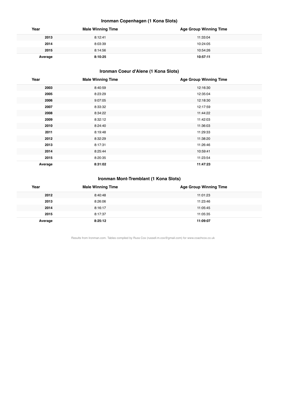## **Ironman Copenhagen (1 Kona Slots)**

| Year    | <b>Male Winning Time</b> | <b>Age Group Winning Time</b> |
|---------|--------------------------|-------------------------------|
| 2013    | 8:12:41                  | 11:33:04                      |
| 2014    | 8:03:39                  | 10:24:05                      |
| 2015    | 8:14:56                  | 10:54:26                      |
| Average | 8:10:25                  | 10:57:11                      |

## **Ironman Coeur d'Alene (1 Kona Slots)**

| Year    | <b>Male Winning Time</b> | <b>Age Group Winning Time</b> |
|---------|--------------------------|-------------------------------|
| 2003    | 8:40:59                  | 12:16:30                      |
| 2005    | 8:23:29                  | 12:35:04                      |
| 2006    | 9:07:05                  | 12:18:30                      |
| 2007    | 8:33:32                  | 12:17:59                      |
| 2008    | 8:34:22                  | 11:44:22                      |
| 2009    | 8:32:12                  | 11:42:03                      |
| 2010    | 8:24:40                  | 11:36:03                      |
| 2011    | 8:19:48                  | 11:29:33                      |
| 2012    | 8:32:29                  | 11:38:20                      |
| 2013    | 8:17:31                  | 11:26:46                      |
| 2014    | 8:25:44                  | 10:59:41                      |
| 2015    | 8:20:35                  | 11:23:54                      |
| Average | 8:31:02                  | 11:47:23                      |

## **Ironman Mont-Tremblant (1 Kona Slots)**

| Year    | <b>Male Winning Time</b> | <b>Age Group Winning Time</b> |
|---------|--------------------------|-------------------------------|
| 2012    | 8:40:48                  | 11:01:23                      |
| 2013    | 8:26:06                  | 11:23:46                      |
| 2014    | 8:16:17                  | 11:05:45                      |
| 2015    | 8:17:37                  | 11:05:35                      |
| Average | 8:25:12                  | 11:09:07                      |

Results from Ironman.com. Tables compiled by Russ Cox (russell.m.cox@gmail.com) for www.coachcox.co.uk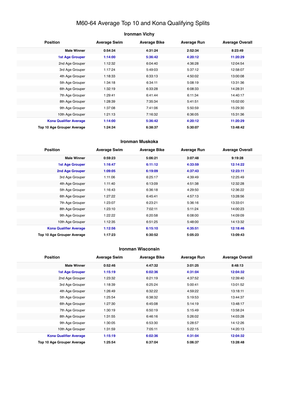## M60-64 Average Top 10 and Kona Qualifying Splits

## **Ironman Vichy Position Average Swim Average Bike Average Run Average Overall Male Winner 0:54:34 4:31:24 2:52:34 8:23:49 1st Age Grouper 1:14:00 5:36:42 4:20:12 11:20:29** 2nd Age Grouper 1:12:32 6:04:40 4:36:28 12:04:54 3rd Age Grouper 1:17:24 5:49:03 5:37:12 12:58:07 4th Age Grouper 1:18:33 6:33:13 4:50:02 13:00:08 5th Age Grouper 1:34:18 6:34:11 5:08:19 13:31:36 6th Age Grouper 1:32:19 6:33:28 6:08:33 14:28:31 7th Age Grouper 1:29:41 6:41:44 6:11:34 14:40:17 8th Age Grouper 1:28:39 1:28:39 7:35:34 5:41:51 15:02:00 9th Age Grouper 1:37:08 7:41:06 5:50:59 15:29:30 10th Age Grouper 1:21:13 7:16:32 6:36:05 15:31:36 **Kona Qualifier Average 1:14:00 5:36:42 4:20:12 11:20:29 Top 10 Age Grouper Average 1:24:34 6:38:37 5:30:07 13:48:42**

#### **Ironman Muskoka**

| <b>Position</b>               | <b>Average Swim</b> | <b>Average Bike</b> | <b>Average Run</b> | <b>Average Overall</b> |
|-------------------------------|---------------------|---------------------|--------------------|------------------------|
| <b>Male Winner</b>            | 0:59:23             | 5:06:21             | 3:07:48            | 9:19:28                |
| <b>1st Age Grouper</b>        | 1:16:47             | 6:11:12             | 4:33:59            | 12:14:22               |
| 2nd Age Grouper               | 1:09:05             | 6:19:09             | 4:37:43            | 12:23:11               |
| 3rd Age Grouper               | 1:11:06             | 6:25:17             | 4:39:49            | 12:25:49               |
| 4th Age Grouper               | 1:11:40             | 6:13:09             | 4:51:38            | 12:32:28               |
| 5th Age Grouper               | 1:16:43             | 6:36:18             | 4:29:50            | 12:36:22               |
| 6th Age Grouper               | 1:27:22             | 6:45:41             | 4:57:13            | 13:28:56               |
| 7th Age Grouper               | 1:23:07             | 6:23:21             | 5:36:16            | 13:33:01               |
| 8th Age Grouper               | 1:23:10             | 7:02:11             | 5:11:24            | 14:00:23               |
| 9th Age Grouper               | 1:22:22             | 6:20:58             | 6:08:00            | 14:09:09               |
| 10th Age Grouper              | 1:12:35             | 6:51:25             | 5:48:00            | 14:13:32               |
| <b>Kona Qualifier Average</b> | 1:12:56             | 6:15:10             | 4:35:51            | 12:18:46               |
| Top 10 Age Grouper Average    | 1:17:23             | 6:30:52             | 5:05:23            | 13:09:43               |

#### **Ironman Wisconsin**

| <b>Position</b>               | <b>Average Swim</b> | <b>Average Bike</b> | <b>Average Run</b> | <b>Average Overall</b> |
|-------------------------------|---------------------|---------------------|--------------------|------------------------|
| <b>Male Winner</b>            | 0:52:46             | 4:47:32             | 3:01:25            | 8:48:13                |
| <b>1st Age Grouper</b>        | 1:15:19             | 6:02:36             | 4:31:04            | 12:04:32               |
| 2nd Age Grouper               | 1:23:32             | 6:21:19             | 4:37:52            | 12:39:40               |
| 3rd Age Grouper               | 1:18:39             | 6:25:24             | 5:00:41            | 13:01:52               |
| 4th Age Grouper               | 1:26:49             | 6:32:22             | 4:59:22            | 13:18:11               |
| 5th Age Grouper               | 1:25:54             | 6:38:32             | 5:19:53            | 13:44:37               |
| 6th Age Grouper               | 1:27:30             | 6:45:08             | 5:14:19            | 13:48:17               |
| 7th Age Grouper               | 1:30:19             | 6:50:19             | 5:15:49            | 13:58:24               |
| 8th Age Grouper               | 1:31:55             | 6:46:16             | 5:26:02            | 14:03:28               |
| 9th Age Grouper               | 1:30:05             | 6:53:30             | 5:28:57            | 14:12:26               |
| 10th Age Grouper              | 1:31:59             | 7:05:11             | 5:22:15            | 14:20:13               |
| <b>Kona Qualifier Average</b> | 1:15:19             | 6:02:36             | 4:31:04            | 12:04:32               |
| Top 10 Age Grouper Average    | 1:25:54             | 6:37:04             | 5:06:37            | 13:28:48               |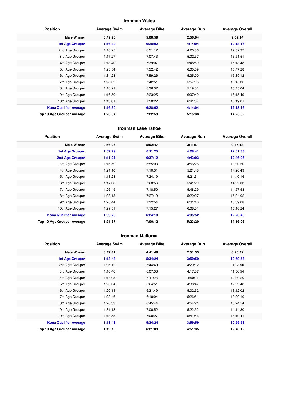## **Ironman Wales**

| <b>Position</b>               | <b>Average Swim</b> | <b>Average Bike</b> | <b>Average Run</b> | <b>Average Overall</b> |
|-------------------------------|---------------------|---------------------|--------------------|------------------------|
| <b>Male Winner</b>            | 0:49:20             | 5:08:59             | 2:56:04            | 9:02:14                |
| <b>1st Age Grouper</b>        | 1:16:30             | 6:28:02             | 4:14:04            | 12:18:16               |
| 2nd Age Grouper               | 1:18:25             | 6:51:12             | 4:20:36            | 12:52:37               |
| 3rd Age Grouper               | 1:17:27             | 7:07:43             | 5:02:37            | 13:51:51               |
| 4th Age Grouper               | 1:18:40             | 7:39:07             | 5:48:59            | 15:13:48               |
| 5th Age Grouper               | 1:23:54             | 7:52:42             | 6:05:09            | 15:47:28               |
| 6th Age Grouper               | 1:34:28             | 7:59:26             | 5:35:00            | 15:39:12               |
| 7th Age Grouper               | 1:28:02             | 7:42:51             | 5:57:05            | 15:45:36               |
| 8th Age Grouper               | 1:18:21             | 8:36:37             | 5:19:51            | 15:45:04               |
| 9th Age Grouper               | 1:16:50             | 8:23:25             | 6:07:42            | 16:15:49               |
| 10th Age Grouper              | 1:13:01             | 7:50:22             | 6:41:57            | 16:19:01               |
| <b>Kona Qualifier Average</b> | 1:16:30             | 6:28:02             | 4:14:04            | 12:18:16               |
| Top 10 Age Grouper Average    | 1:20:34             | 7:22:59             | 5:15:38            | 14:25:02               |

#### **Ironman Lake Tahoe**

| <b>Position</b>               | <b>Average Swim</b> | <b>Average Bike</b> | <b>Average Run</b> | <b>Average Overall</b> |
|-------------------------------|---------------------|---------------------|--------------------|------------------------|
| <b>Male Winner</b>            | 0:56:06             | 5:02:47             | 3:11:51            | 9:17:18                |
| <b>1st Age Grouper</b>        | 1:07:29             | 6:11:25             | 4:28:41            | 12:01:33               |
| 2nd Age Grouper               | 1:11:24             | 6:37:12             | 4:43:03            | 12:46:06               |
| 3rd Age Grouper               | 1:16:59             | 6:55:03             | 4:56:26            | 13:30:50               |
| 4th Age Grouper               | 1:21:10             | 7:10:31             | 5:21:48            | 14:20:49               |
| 5th Age Grouper               | 1:18:28             | 7:24:19             | 5:21:31            | 14:40:16               |
| 6th Age Grouper               | 1:17:08             | 7:28:56             | 5:41:29            | 14:52:03               |
| 7th Age Grouper               | 1:26:49             | 7:18:50             | 5:48:29            | 14:57:53               |
| 8th Age Grouper               | 1:38:13             | 7:27:19             | 5:22:07            | 15:04:02               |
| 9th Age Grouper               | 1:28:44             | 7:12:54             | 6:01:46            | 15:09:08               |
| 10th Age Grouper              | 1:29:51             | 7:15:27             | 6:08:01            | 15:18:24               |
| <b>Kona Qualifier Average</b> | 1:09:26             | 6:24:18             | 4:35:52            | 12:23:49               |
| Top 10 Age Grouper Average    | 1:21:37             | 7:06:12             | 5:23:20            | 14:16:06               |

#### **Ironman Mallorca**

| <b>Position</b>               | <b>Average Swim</b> | <b>Average Bike</b> | <b>Average Run</b> | <b>Average Overall</b> |
|-------------------------------|---------------------|---------------------|--------------------|------------------------|
| <b>Male Winner</b>            | 0:47:41             | 4:41:48             | 2:51:33            | 8:25:42                |
| <b>1st Age Grouper</b>        | 1:13:48             | 5:34:24             | 3:59:59            | 10:59:58               |
| 2nd Age Grouper               | 1:06:12             | 5:44:40             | 4:20:12            | 11:23:50               |
| 3rd Age Grouper               | 1:16:46             | 6:07:33             | 4:17:57            | 11:56:54               |
| 4th Age Grouper               | 1:14:05             | 6:11:08             | 4:50:11            | 12:30:20               |
| 5th Age Grouper               | 1:20:04             | 6:24:51             | 4:38:47            | 12:39:48               |
| 6th Age Grouper               | 1:20:14             | 6:31:49             | 5:02:52            | 13:12:02               |
| 7th Age Grouper               | 1:23:46             | 6:10:04             | 5:26:51            | 13:20:10               |
| 8th Age Grouper               | 1:26:33             | 6:45:44             | 4:54:21            | 13:24:54               |
| 9th Age Grouper               | 1:31:18             | 7:00:52             | 5:22:52            | 14:14:30               |
| 10th Age Grouper              | 1:18:58             | 7:00:27             | 5:41:46            | 14:19:41               |
| <b>Kona Qualifier Average</b> | 1:13:48             | 5:34:24             | 3:59:59            | 10:59:58               |
| Top 10 Age Grouper Average    | 1:19:10             | 6:21:09             | 4:51:35            | 12:48:12               |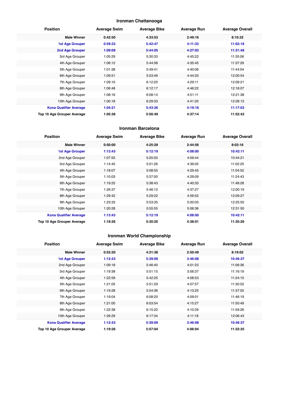## **Ironman Chattanooga**

| <b>Position</b>               | <b>Average Swim</b> | <b>Average Bike</b> | <b>Average Run</b> | <b>Average Overall</b> |
|-------------------------------|---------------------|---------------------|--------------------|------------------------|
| <b>Male Winner</b>            | 0:42:50             | 4:33:53             | 2:49:16            | 8:10:32                |
| <b>1st Age Grouper</b>        | 0:59:33             | 5:42:47             | 4:11:33            | 11:02:18               |
| 2nd Age Grouper               | 1:09:09             | 5:44:05             | 4:27:03            | 11:31:48               |
| 3rd Age Grouper               | 1:05:29             | 5:30:33             | 4:45:22            | 11:35:06               |
| 4th Age Grouper               | 1:06:12             | 5:44:58             | 4:35:45            | 11:37:29               |
| 5th Age Grouper               | 1:01:38             | 5:49:41             | 4:40:06            | 11:44:04               |
| 6th Age Grouper               | 1:09:51             | 5:53:49             | 4:44:33            | 12:00:54               |
| 7th Age Grouper               | 1:09:10             | 6:12:20             | 4:29:11            | 12:09:21               |
| 8th Age Grouper               | 1:06:48             | 6:12:17             | 4:46:22            | 12:18:07               |
| 9th Age Grouper               | 1:08:16             | 6:08:14             | 4:51:11            | 12:21:38               |
| 10th Age Grouper              | 1:00:18             | 6:29:33             | 4:41:20            | 12:26:13               |
| <b>Kona Qualifier Average</b> | 1:04:21             | 5:43:26             | 4:19:18            | 11:17:03               |
| Top 10 Age Grouper Average    | 1:05:38             | 5:56:49             | 4:37:14            | 11:52:42               |

#### **Ironman Barcelona**

| <b>Position</b>               | <b>Average Swim</b> | <b>Average Bike</b> | <b>Average Run</b> | <b>Average Overall</b> |
|-------------------------------|---------------------|---------------------|--------------------|------------------------|
| <b>Male Winner</b>            | 0:50:00             | 4:25:29             | 2:44:56            | 8:03:16                |
| <b>1st Age Grouper</b>        | 1:13:43             | 5:12:19             | 4:08:00            | 10:42:11               |
| 2nd Age Grouper               | 1:07:55             | 5:20:50             | 4:09:44            | 10:44:21               |
| 3rd Age Grouper               | 1:14:45             | 5:01:26             | 4:39:05            | 11:02:25               |
| 4th Age Grouper               | 1:18:07             | 5:08:55             | 4:29:45            | 11:04:52               |
| 5th Age Grouper               | 1:10:03             | 5:37:00             | 4:29:09            | 11:24:43               |
| 6th Age Grouper               | 1:19:25             | 5:38:43             | 4:40:33            | 11:48:28               |
| 7th Age Grouper               | 1:26:37             | 5:46:12             | 4:37:27            | 12:00:19               |
| 8th Age Grouper               | 1:29:42             | 5:29:22             | 4:59:52            | 12:09:27               |
| 9th Age Grouper               | 1:23:33             | 5:53:35             | 5:00:03            | 12:25:50               |
| 10th Age Grouper              | 1:20:28             | 5:55:55             | 5:06:36            | 12:31:50               |
| <b>Kona Qualifier Average</b> | 1:13:43             | 5:12:19             | 4:08:00            | 10:42:11               |
| Top 10 Age Grouper Average    | 1:18:26             | 5:30:25             | 4:38:01            | 11:35:26               |

## **Ironman World Championship**

| <b>Position</b>               | <b>Average Swim</b> | <b>Average Bike</b> | <b>Average Run</b> | <b>Average Overall</b> |
|-------------------------------|---------------------|---------------------|--------------------|------------------------|
| <b>Male Winner</b>            | 0:52:20             | 4:31:38             | 2:50:49            | 8:19:02                |
| <b>1st Age Grouper</b>        | 1:12:43             | 5:39:09             | 3:46:08            | 10:46:37               |
| 2nd Age Grouper               | 1:09:18             | 5:46:40             | 4:01:23            | 11:06:36               |
| 3rd Age Grouper               | 1:19:38             | 5:51:15             | 3:56:37            | 11:16:19               |
| 4th Age Grouper               | 1:22:59             | 5:42:25             | 4:08:53            | 11:24:15               |
| 5th Age Grouper               | 1:21:05             | 5:51:29             | 4:07:57            | 11:30:52               |
| 6th Age Grouper               | 1:19:28             | 5:54:36             | 4:13:25            | 11:37:55               |
| 7th Age Grouper               | 1:19:04             | 6:08:20             | 4:09:01            | 11:46:19               |
| 8th Age Grouper               | 1:21:00             | 6:03:54             | 4:15:27            | 11:50:49               |
| 9th Age Grouper               | 1:22:38             | 6:15:22             | 4:10:29            | 11:59:26               |
| 10th Age Grouper              | 1:26:29             | 6:17:34             | 4:11:18            | 12:06:43               |
| <b>Kona Qualifier Average</b> | 1:12:43             | 5:39:09             | 3:46:08            | 10:46:37               |
| Top 10 Age Grouper Average    | 1:19:26             | 5:57:04             | 4:06:04            | 11:32:35               |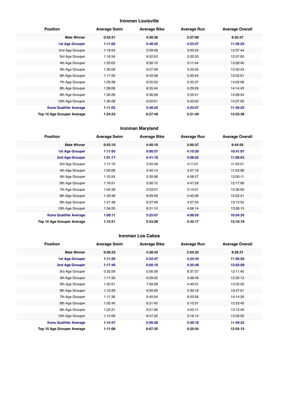## **Ironman Louisville**

| <b>Position</b>               | <b>Average Swim</b> | <b>Average Bike</b> | <b>Average Run</b> | <b>Average Overall</b> |
|-------------------------------|---------------------|---------------------|--------------------|------------------------|
| <b>Male Winner</b>            | 0:52:21             | 4:38:36             | 2:57:00            | 8:32:37                |
| <b>1st Age Grouper</b>        | 1:11:02             | 5:48:25             | 4:23:57            | 11:36:20               |
| 2nd Age Grouper               | 1:19:54             | 5:59:08             | 5:03:24            | 12:37:44               |
| 3rd Age Grouper               | 1:16:34             | 6:02:52             | 5:20:33            | 12:57:00               |
| 4th Age Grouper               | 1:25:02             | 6:30:10             | 5:11:44            | 13:28:40               |
| 5th Age Grouper               | 1:30:09             | 6:27:48             | 5:23:45            | 13:40:43               |
| 6th Age Grouper               | 1:17:20             | 6:42:38             | 5:30:54            | 13:52:01               |
| 7th Age Grouper               | 1:29:38             | 6:35:33             | 5:35:37            | 14:03:06               |
| 8th Age Grouper               | 1:28:06             | 6:55:44             | 5:29:26            | 14:14:43               |
| 9th Age Grouper               | 1:35:26             | 6:36:58             | 5:55:51            | 14:28:34               |
| 10th Age Grouper              | 1:30:28             | 6:59:01             | 5:43:02            | 14:37:05               |
| <b>Kona Qualifier Average</b> | 1:11:02             | 5:48:25             | 4:23:57            | 11:36:20               |
| Top 10 Age Grouper Average    | 1:24:22             | 6:27:49             | 5:21:49            | 13:33:36               |

## **Ironman Maryland**

| <b>Position</b>               | <b>Average Swim</b> | <b>Average Bike</b> | <b>Average Run</b> | <b>Average Overall</b> |
|-------------------------------|---------------------|---------------------|--------------------|------------------------|
| <b>Male Winner</b>            | 0:53:10             | 4:40:10             | 3:05:37            | 8:44:50                |
| <b>1st Age Grouper</b>        | 1:11:05             | 5:08:57             | 4:10:29            | 10:41:07               |
| 2nd Age Grouper               | 1:01:17             | 5:41:18             | 4:09:22            | 11:08:03               |
| 3rd Age Grouper               | 1:11:19             | 5:55:46             | 4:11:01            | 11:40:21               |
| 4th Age Grouper               | 1:03:06             | 5:40:14             | 4:57:19            | 11:53:38               |
| 5th Age Grouper               | 1:10:24             | 5:30:06             | 4:58:27            | 12:00:11               |
| 6th Age Grouper               | 1:16:51             | 5:56:15             | 4:47:29            | 12:17:06               |
| 7th Age Grouper               | 1:04:39             | 5:53:07             | 5:14:31            | 12:30:00               |
| 8th Age Grouper               | 1:43:48             | 6:09:59             | 4:40:26            | 12:52:41               |
| 9th Age Grouper               | 1:21:48             | 6:27:49             | 4:57:34            | 13:13:52               |
| 10th Age Grouper              | 1:34:20             | 6:31:10             | 4:56:14            | 13:26:15               |
| <b>Kona Qualifier Average</b> | 1:06:11             | 5:25:07             | 4:09:55            | 10:54:35               |
| Top 10 Age Grouper Average    | 1:15:51             | 5:53:28             | 4:42:17            | 12:10:19               |

#### **Ironman Los Cabos**

| <b>Position</b>               | <b>Average Swim</b> | <b>Average Bike</b> | <b>Average Run</b> | <b>Average Overall</b> |
|-------------------------------|---------------------|---------------------|--------------------|------------------------|
| <b>Male Winner</b>            | 0:50:33             | 4:38:43             | 2:53:22            | 8:26:31                |
| <b>1st Age Grouper</b>        | 1:11:29             | 5:52:47             | 4:24:43            | 11:36:56               |
| 2nd Age Grouper               | 1:17:46             | 6:00:10             | 4:35:49            | 12:02:09               |
| 3rd Age Grouper               | 0:32:59             | 2:56:28             | 8:37:37            | 12:11:45               |
| 4th Age Grouper               | 1:17:30             | 6:29:25             | 4:38:49            | 12:35:13               |
| 5th Age Grouper               | 1:32:51             | 7:09:28             | 4:40:31            | 13:32:32               |
| 6th Age Grouper               | 1:10:29             | 6:50:09             | 5:30:18            | 13:47:01               |
| 7th Age Grouper               | 1:11:36             | 6:40:54             | 6:03:56            | 14:14:26               |
| 8th Age Grouper               | 1:02:45             | 6:31:42             | 5:10:31            | 12:53:45               |
| 9th Age Grouper               | 1:22:21             | 6:51:06             | 4:50:11            | 13:15:40               |
| 10th Age Grouper              | 1:14:59             | 6:47:32             | 5:16:14            | 13:29:02               |
| <b>Kona Qualifier Average</b> | 1:14:37             | 5:56:28             | 4:30:16            | 11:49:32               |
| Top 10 Age Grouper Average    | 1:11:08             | 6:07:35             | 5:25:54            | 12:55:12               |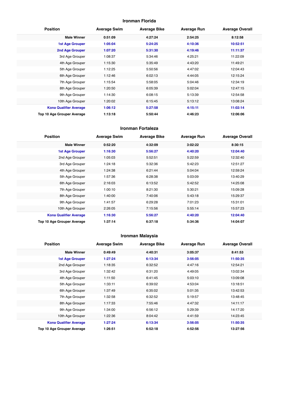## **Ironman Florida**

| <b>Position</b>               | <b>Average Swim</b> | <b>Average Bike</b> | <b>Average Run</b> | <b>Average Overall</b> |
|-------------------------------|---------------------|---------------------|--------------------|------------------------|
| <b>Male Winner</b>            | 0:51:09             | 4:27:24             | 2:54:25            | 8:12:58                |
| <b>1st Age Grouper</b>        | 1:05:04             | 5:24:25             | 4:10:36            | 10:52:51               |
| 2nd Age Grouper               | 1:07:20             | 5:31:30             | 4:19:46            | 11:11:37               |
| 3rd Age Grouper               | 1:08:37             | 5:34:46             | 4:25:21            | 11:22:09               |
| 4th Age Grouper               | 1:15:30             | 5:35:49             | 4:43:20            | 11:49:21               |
| 5th Age Grouper               | 1:12:25             | 5:50:56             | 4:47:02            | 12:04:43               |
| 6th Age Grouper               | 1:12:46             | 6:02:13             | 4:44:05            | 12:15:24               |
| 7th Age Grouper               | 1:15:54             | 5:58:05             | 5:04:46            | 12:34:19               |
| 8th Age Grouper               | 1:20:50             | 6:05:39             | 5:02:04            | 12:47:15               |
| 9th Age Grouper               | 1:14:30             | 6:08:15             | 5:13:39            | 12:54:58               |
| 10th Age Grouper              | 1:20:02             | 6:15:45             | 5:13:12            | 13:08:24               |
| <b>Kona Qualifier Average</b> | 1:06:12             | 5:27:58             | 4:15:11            | 11:02:14               |
| Top 10 Age Grouper Average    | 1:13:18             | 5:50:44             | 4:46:23            | 12:06:06               |

#### **Ironman Fortaleza**

| <b>Position</b>               | <b>Average Swim</b> | <b>Average Bike</b> | <b>Average Run</b> | <b>Average Overall</b> |
|-------------------------------|---------------------|---------------------|--------------------|------------------------|
| <b>Male Winner</b>            | 0:52:20             | 4:32:09             | 3:02:22            | 8:30:15                |
| <b>1st Age Grouper</b>        | 1:16:30             | 5:56:27             | 4:40:20            | 12:04:40               |
| 2nd Age Grouper               | 1:05:03             | 5:52:51             | 5:22:59            | 12:32:40               |
| 3rd Age Grouper               | 1:24:18             | 5:32:36             | 5:42:23            | 12:51:27               |
| 4th Age Grouper               | 1:24:38             | 6:21:44             | 5:04:04            | 12:59:24               |
| 5th Age Grouper               | 1:57:36             | 6:28:38             | 5:03:09            | 13:40:29               |
| 6th Age Grouper               | 2:16:03             | 6:13:52             | 5:42:52            | 14:25:08               |
| 7th Age Grouper               | 1:00:10             | 8:21:30             | 5:30:21            | 15:09:28               |
| 8th Age Grouper               | 1:40:00             | 7:40:06             | 5:43:18            | 15:29:37               |
| 9th Age Grouper               | 1:41:57             | 6:29:28             | 7:01:23            | 15:31:01               |
| 10th Age Grouper              | 2:26:05             | 7:15:56             | 5:55:14            | 15:57:23               |
| <b>Kona Qualifier Average</b> | 1:16:30             | 5:56:27             | 4:40:20            | 12:04:40               |
| Top 10 Age Grouper Average    | 1:37:14             | 6:37:18             | 5:34:36            | 14:04:07               |

## **Ironman Malaysia**

| <b>Position</b>               | <b>Average Swim</b> | <b>Average Bike</b> | <b>Average Run</b> | <b>Average Overall</b> |
|-------------------------------|---------------------|---------------------|--------------------|------------------------|
| <b>Male Winner</b>            | 0:49:49             | 4:40:31             | 3:05:37            | 8:41:53                |
| <b>1st Age Grouper</b>        | 1:27:24             | 6:13:34             | 3:56:05            | 11:50:35               |
| 2nd Age Grouper               | 1:18:35             | 6:32:52             | 4:47:16            | 12:54:21               |
| 3rd Age Grouper               | 1:32:42             | 6:31:20             | 4:49:05            | 13:02:34               |
| 4th Age Grouper               | 1:11:50             | 6:41:45             | 5:03:10            | 13:09:08               |
| 5th Age Grouper               | 1:33:11             | 6:39:02             | 4:53:04            | 13:18:51               |
| 6th Age Grouper               | 1:37:49             | 6:35:02             | 5:01:35            | 13:42:53               |
| 7th Age Grouper               | 1:32:58             | 6:32:52             | 5:19:57            | 13:48:45               |
| 8th Age Grouper               | 1:17:33             | 7:55:46             | 4:47:32            | 14:11:17               |
| 9th Age Grouper               | 1:34:00             | 6:56:12             | 5:29:39            | 14:17:20               |
| 10th Age Grouper              | 1:22:36             | 8:04:42             | 4:41:59            | 14:23:45               |
| <b>Kona Qualifier Average</b> | 1:27:24             | 6:13:34             | 3:56:05            | 11:50:35               |
| Top 10 Age Grouper Average    | 1:26:51             | 6:52:18             | 4:52:56            | 13:27:56               |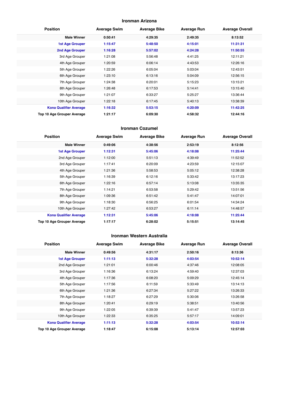#### **Ironman Arizona**

| <b>Position</b>               | <b>Average Swim</b> | <b>Average Bike</b> | <b>Average Run</b> | <b>Average Overall</b> |
|-------------------------------|---------------------|---------------------|--------------------|------------------------|
| <b>Male Winner</b>            | 0:50:41             | 4:29:35             | 2:49:35            | 8:13:52                |
| <b>1st Age Grouper</b>        | 1:15:47             | 5:48:50             | 4:15:01            | 11:31:31               |
| 2nd Age Grouper               | 1:16:28             | 5:57:02             | 4:24:28            | 11:50:55               |
| 3rd Age Grouper               | 1:21:08             | 5:56:48             | 4:41:25            | 12:11:21               |
| 4th Age Grouper               | 1:20:59             | 6:06:14             | 4:43:53            | 12:26:16               |
| 5th Age Grouper               | 1:22:26             | 6:05:04             | 5:03:04            | 12:43:51               |
| 6th Age Grouper               | 1:23:10             | 6:13:16             | 5:04:09            | 12:56:15               |
| 7th Age Grouper               | 1:24:38             | 6:20:01             | 5:15:23            | 13:15:21               |
| 8th Age Grouper               | 1:26:48             | 6:17:53             | 5:14:41            | 13:15:40               |
| 9th Age Grouper               | 1:21:07             | 6:33:27             | 5:25:27            | 13:36:44               |
| 10th Age Grouper              | 1:22:18             | 6:17:45             | 5:40:13            | 13:38:39               |
| <b>Kona Qualifier Average</b> | 1:16:32             | 5:53:15             | 4:20:09            | 11:42:25               |
| Top 10 Age Grouper Average    | 1:21:17             | 6:09:30             | 4:58:32            | 12:44:16               |

#### **Ironman Cozumel**

| <b>Position</b>               | <b>Average Swim</b> | <b>Average Bike</b> | <b>Average Run</b> | <b>Average Overall</b> |
|-------------------------------|---------------------|---------------------|--------------------|------------------------|
| <b>Male Winner</b>            | 0:49:06             | 4:38:56             | 2:53:19            | 8:12:56                |
| <b>1st Age Grouper</b>        | 1:12:31             | 5:45:06             | 4:18:08            | 11:25:44               |
| 2nd Age Grouper               | 1:12:00             | 5:51:13             | 4:39:49            | 11:52:52               |
| 3rd Age Grouper               | 1:17:41             | 6:20:09             | 4:23:59            | 12:15:07               |
| 4th Age Grouper               | 1:21:36             | 5:58:53             | 5:05:12            | 12:38:28               |
| 5th Age Grouper               | 1:16:39             | 6:12:16             | 5:33:42            | 13:17:23               |
| 6th Age Grouper               | 1:22:16             | 6:57:14             | 5:13:08            | 13:35:35               |
| 7th Age Grouper               | 1:14:21             | 6:53:58             | 5:29:42            | 13:51:56               |
| 8th Age Grouper               | 1:09:36             | 6:51:42             | 5:41:47            | 14:07:01               |
| 9th Age Grouper               | 1:18:30             | 6:56:25             | 6:01:54            | 14:34:24               |
| 10th Age Grouper              | 1:27:42             | 6:53:27             | 6:11:14            | 14:48:57               |
| <b>Kona Qualifier Average</b> | 1:12:31             | 5:45:06             | 4:18:08            | 11:25:44               |
| Top 10 Age Grouper Average    | 1:17:17             | 6:28:02             | 5:15:51            | 13:14:45               |

#### **Ironman Western Australia**

| <b>Position</b>               | <b>Average Swim</b> | <b>Average Bike</b> | <b>Average Run</b> | <b>Average Overall</b> |
|-------------------------------|---------------------|---------------------|--------------------|------------------------|
| <b>Male Winner</b>            | 0:49:56             | 4:31:17             | 2:50:16            | 8:13:36                |
| <b>1st Age Grouper</b>        | 1:11:13             | 5:32:28             | 4:03:54            | 10:52:14               |
| 2nd Age Grouper               | 1:21:01             | 6:00:46             | 4:37:46            | 12:08:05               |
| 3rd Age Grouper               | 1:16:36             | 6:13:24             | 4:59:40            | 12:37:03               |
| 4th Age Grouper               | 1:17:36             | 6:08:20             | 5:09:29            | 12:45:14               |
| 5th Age Grouper               | 1:17:56             | 6:11:59             | 5:33:49            | 13:14:13               |
| 6th Age Grouper               | 1:21:36             | 6:27:34             | 5:27:22            | 13:26:33               |
| 7th Age Grouper               | 1:18:27             | 6:27:29             | 5:30:06            | 13:26:58               |
| 8th Age Grouper               | 1:20:41             | 6:29:19             | 5:38:51            | 13:40:56               |
| 9th Age Grouper               | 1:22:05             | 6:39:39             | 5:41:47            | 13:57:23               |
| 10th Age Grouper              | 1:22:33             | 6:35:25             | 5:57:17            | 14:09:01               |
| <b>Kona Qualifier Average</b> | 1:11:13             | 5:32:28             | 4:03:54            | 10:52:14               |
| Top 10 Age Grouper Average    | 1:18:47             | 6:15:08             | 5:13:14            | 12:57:03               |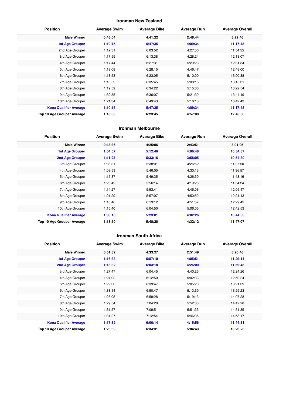## **Ironman New Zealand**

| <b>Position</b>               | <b>Average Swim</b> | <b>Average Bike</b> | <b>Average Run</b> | <b>Average Overall</b> |
|-------------------------------|---------------------|---------------------|--------------------|------------------------|
| <b>Male Winner</b>            | 0:48:04             | 4:41:22             | 2:48:44            | 8:22:46                |
| <b>1st Age Grouper</b>        | 1:10:15             | 5:47:35             | 4:09:34            | 11:17:48               |
| 2nd Age Grouper               | 1:12:31             | 6:03:52             | 4:27:56            | 11:54:55               |
| 3rd Age Grouper               | 1:17:55             | 6:13:38             | 4:28:24            | 12:13:07               |
| 4th Age Grouper               | 1:17:44             | 6:27:31             | 5:29:23            | 12:31:34               |
| 5th Age Grouper               | 1:19:08             | 6:28:15             | 4:46:47            | 12:48:00               |
| 6th Age Grouper               | 1:13:53             | 6:23:05             | 5:10:00            | 13:00:38               |
| 7th Age Grouper               | 1:16:52             | 6:35:45             | 5:08:15            | 13:15:31               |
| 8th Age Grouper               | 1:19:59             | 6:34:22             | 5:15:00            | 13:22:54               |
| 9th Age Grouper               | 1:30:55             | 6:36:07             | 5:21:39            | 13:44:19               |
| 10th Age Grouper              | 1:21:34             | 6:49:43             | 5:16:13            | 13:42:43               |
| <b>Kona Qualifier Average</b> | 1:10:15             | 5:47:35             | 4:09:34            | 11:17:48               |
| Top 10 Age Grouper Average    | 1:18:03             | 6:23:45             | 4:57:09            | 12:46:38               |

#### **Ironman Melbourne**

| <b>Position</b>               | <b>Average Swim</b> | <b>Average Bike</b> | <b>Average Run</b> | <b>Average Overall</b> |
|-------------------------------|---------------------|---------------------|--------------------|------------------------|
| <b>Male Winner</b>            | 0:48:36             | 4:25:06             | 2:43:51            | 8:01:05                |
| <b>1st Age Grouper</b>        | 1:04:57             | 5:12:46             | 4:06:48            | 10:34:37               |
| 2nd Age Grouper               | 1:11:23             | 5:33:16             | 3:58:05            | 10:54:30               |
| 3rd Age Grouper               | 1:08:31             | 5:38:01             | 4:26:52            | 11:27:50               |
| 4th Age Grouper               | 1:09:53             | 5:46:05             | 4:30:13            | 11:36:57               |
| 5th Age Grouper               | 1:15:37             | 5:49:35             | 4:26:39            | 11:43:16               |
| 6th Age Grouper               | 1:25:42             | 5:56:14             | 4:19:25            | 11:54:24               |
| 7th Age Grouper               | 1:14:27             | 5:53:41             | 4:45:06            | 12:05:47               |
| 8th Age Grouper               | 1:21:29             | 5:57:07             | 4:50:52            | 12:21:13               |
| 9th Age Grouper               | 1:10:46             | 6:13:12             | 4:51:57            | 12:29:42               |
| 10th Age Grouper              | 1:15:40             | 6:04:50             | 5:06:05            | 12:42:53               |
| <b>Kona Qualifier Average</b> | 1:08:10             | 5:23:01             | 4:02:26            | 10:44:33               |
| Top 10 Age Grouper Average    | 1:13:50             | 5:48:28             | 4:32:12            | 11:47:07               |

#### **Ironman South Africa**

| <b>Position</b>               | <b>Average Swim</b> | <b>Average Bike</b> | <b>Average Run</b> | <b>Average Overall</b> |
|-------------------------------|---------------------|---------------------|--------------------|------------------------|
| <b>Male Winner</b>            | 0:51:32             | 4:33:27             | 2:51:49            | 8:20:46                |
| <b>1st Age Grouper</b>        | 1:16:33             | 5:57:10             | 4:05:51            | 11:29:14               |
| 2nd Age Grouper               | 1:18:32             | 6:03:18             | 4:26:00            | 11:59:48               |
| 3rd Age Grouper               | 1:27:47             | 6:04:45             | 4:40:25            | 12:24:26               |
| 4th Age Grouper               | 1:24:02             | 6:12:50             | 5:02:33            | 12:50:24               |
| 5th Age Grouper               | 1:22:33             | 6:39:47             | 5:05:20            | 13:21:39               |
| 6th Age Grouper               | 1:33:14             | 6:50:47             | 5:13:39            | 13:55:23               |
| 7th Age Grouper               | 1:28:05             | 6:59:28             | 5:19:13            | 14:07:28               |
| 8th Age Grouper               | 1:29:54             | 7:04:20             | 5:52:33            | 14:42:28               |
| 9th Age Grouper               | 1:31:57             | 7:09:51             | 5:51:33            | 14:51:35               |
| 10th Age Grouper              | 1:31:27             | 7:12:54             | 5:46:36            | 14:58:17               |
| <b>Kona Qualifier Average</b> | 1:17:32             | 6:00:14             | 4:15:56            | 11:44:31               |
| Top 10 Age Grouper Average    | 1:25:59             | 6:34:31             | 5:04:43            | 13:20:26               |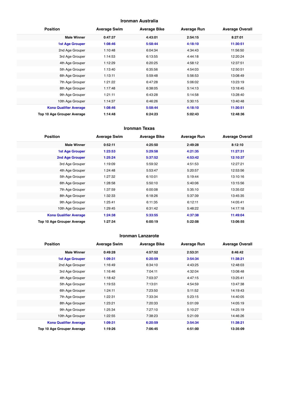#### **Ironman Australia**

| <b>Position</b>               | <b>Average Swim</b> | <b>Average Bike</b> | <b>Average Run</b> | <b>Average Overall</b> |
|-------------------------------|---------------------|---------------------|--------------------|------------------------|
| <b>Male Winner</b>            | 0:47:37             | 4:43:01             | 2:54:15            | 8:27:01                |
| <b>1st Age Grouper</b>        | 1:08:46             | 5:58:44             | 4:18:10            | 11:30:51               |
| 2nd Age Grouper               | 1:10:48             | 6:04:34             | 4:34:43            | 11:56:50               |
| 3rd Age Grouper               | 1:14:53             | 6:13:55             | 4:44:18            | 12:20:24               |
| 4th Age Grouper               | 1:12:29             | 6:20:25             | 4:58:12            | 12:37:51               |
| 5th Age Grouper               | 1:13:40             | 6:35:56             | 4:54:03            | 12:50:51               |
| 6th Age Grouper               | 1:13:11             | 5:59:48             | 5:56:53            | 13:08:49               |
| 7th Age Grouper               | 1:21:22             | 6:47:28             | 5:06:02            | 13:23:19               |
| 8th Age Grouper               | 1:17:48             | 6:38:05             | 5:14:13            | 13:18:45               |
| 9th Age Grouper               | 1:21:11             | 6:43:28             | 5:14:58            | 13:28:40               |
| 10th Age Grouper              | 1:14:37             | 6:46:26             | 5:30:15            | 13:40:48               |
| <b>Kona Qualifier Average</b> | 1:08:46             | 5:58:44             | 4:18:10            | 11:30:51               |
| Top 10 Age Grouper Average    | 1:14:48             | 6:24:23             | 5:02:43            | 12:48:36               |

#### **Ironman Texas**

| <b>Position</b>               | <b>Average Swim</b> | <b>Average Bike</b> | <b>Average Run</b> | <b>Average Overall</b> |
|-------------------------------|---------------------|---------------------|--------------------|------------------------|
| <b>Male Winner</b>            | 0:52:11             | 4:25:50             | 2:49:28            | 8:12:10                |
| <b>1st Age Grouper</b>        | 1:23:53             | 5:29:58             | 4:21:35            | 11:27:31               |
| 2nd Age Grouper               | 1:25:24             | 5:37:52             | 4:53:42            | 12:10:37               |
| 3rd Age Grouper               | 1:19:09             | 5:59:32             | 4:51:53            | 12:27:21               |
| 4th Age Grouper               | 1:24:48             | 5:53:47             | 5:20:57            | 12:53:56               |
| 5th Age Grouper               | 1:27:32             | 6:10:01             | 5:19:44            | 13:10:16               |
| 6th Age Grouper               | 1:28:58             | 5:50:10             | 5:40:06            | 13:15:56               |
| 7th Age Grouper               | 1:37:59             | 6:00:08             | 5:35:10            | 13:35:02               |
| 8th Age Grouper               | 1:32:33             | 6:18:26             | 5:37:39            | 13:45:35               |
| 9th Age Grouper               | 1:25:41             | 6:11:35             | 6:12:11            | 14:05:41               |
| 10th Age Grouper              | 1:29:45             | 6:31:42             | 5:48:22            | 14:17:18               |
| <b>Kona Qualifier Average</b> | 1:24:38             | 5:33:55             | 4:37:38            | 11:49:04               |
| Top 10 Age Grouper Average    | 1:27:34             | 6:00:19             | 5:22:08            | 13:06:55               |

#### **Ironman Lanzarote**

| <b>Position</b>               | <b>Average Swim</b> | <b>Average Bike</b> | <b>Average Run</b> | <b>Average Overall</b> |
|-------------------------------|---------------------|---------------------|--------------------|------------------------|
| <b>Male Winner</b>            | 0:49:28             | 4:57:52             | 2:53:31            | 8:46:42                |
| <b>1st Age Grouper</b>        | 1:09:31             | 6:20:59             | 3:54:34            | 11:38:21               |
| 2nd Age Grouper               | 1:16:49             | 6:34:10             | 4:43:25            | 12:48:03               |
| 3rd Age Grouper               | 1:16:46             | 7:04:11             | 4:32:04            | 13:08:48               |
| 4th Age Grouper               | 1:18:42             | 7:03:37             | 4:47:15            | 13:25:41               |
| 5th Age Grouper               | 1:19:53             | 7:13:01             | 4:54:59            | 13:47:38               |
| 6th Age Grouper               | 1:24:11             | 7:23:50             | 5:11:52            | 14:19:43               |
| 7th Age Grouper               | 1:22:31             | 7:33:34             | 5:23:15            | 14:40:05               |
| 8th Age Grouper               | 1:23:21             | 7:20:33             | 5:01:09            | 14:05:19               |
| 9th Age Grouper               | 1:25:34             | 7:27:10             | 5:10:27            | 14:25:19               |
| 10th Age Grouper              | 1:22:55             | 7:38:23             | 5:21:09            | 14:46:26               |
| <b>Kona Qualifier Average</b> | 1:09:31             | 6:20:59             | 3:54:34            | 11:38:21               |
| Top 10 Age Grouper Average    | 1:19:26             | 7:06:45             | 4:51:00            | 13:35:09               |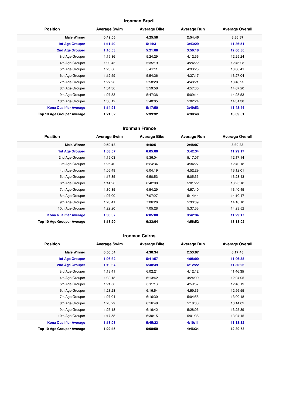## **Ironman Brazil**

| <b>Position</b>               | <b>Average Swim</b> | <b>Average Bike</b> | <b>Average Run</b> | <b>Average Overall</b> |
|-------------------------------|---------------------|---------------------|--------------------|------------------------|
| <b>Male Winner</b>            | 0:49:05             | 4:25:58             | 2:54:46            | 8:36:37                |
| <b>1st Age Grouper</b>        | 1:11:49             | 5:14:31             | 3:43:29            | 11:36:51               |
| 2nd Age Grouper               | 1:16:53             | 5:21:08             | 3:56:18            | 12:00:36               |
| 3rd Age Grouper               | 1:19:36             | 5:24:29             | 4:12:56            | 12:25:24               |
| 4th Age Grouper               | 1:09:45             | 5:35:19             | 4:24:22            | 12:46:23               |
| 5th Age Grouper               | 1:25:56             | 5:41:11             | 4:33:25            | 13:08:41               |
| 6th Age Grouper               | 1:12:59             | 5:54:26             | 4:37:17            | 13:27:04               |
| 7th Age Grouper               | 1:27:26             | 5:58:28             | 4:48:21            | 13:48:22               |
| 8th Age Grouper               | 1:34:36             | 5:59:58             | 4:57:30            | 14:07:20               |
| 9th Age Grouper               | 1:27:53             | 5:47:36             | 5:09:14            | 14:25:53               |
| 10th Age Grouper              | 1:33:12             | 5:40:05             | 5:02:24            | 14:31:38               |
| <b>Kona Qualifier Average</b> | 1:14:21             | 5:17:50             | 3:49:53            | 11:48:44               |
| Top 10 Age Grouper Average    | 1:21:32             | 5:39:32             | 4:30:48            | 13:09:51               |

#### **Ironman France**

| <b>Position</b>               | <b>Average Swim</b> | <b>Average Bike</b> | <b>Average Run</b> | <b>Average Overall</b> |
|-------------------------------|---------------------|---------------------|--------------------|------------------------|
| <b>Male Winner</b>            | 0:50:18             | 4:46:51             | 2:48:07            | 8:30:38                |
| <b>1st Age Grouper</b>        | 1:03:57             | 6:05:00             | 3:42:34            | 11:29:17               |
| 2nd Age Grouper               | 1:19:03             | 5:36:04             | 5:17:07            | 12:17:14               |
| 3rd Age Grouper               | 1:25:40             | 6:24:34             | 4:34:27            | 12:40:18               |
| 4th Age Grouper               | 1:05:49             | 6:04:19             | 4:52:29            | 13:12:01               |
| 5th Age Grouper               | 1:17:35             | 6:50:53             | 5:05:35            | 13:23:43               |
| 6th Age Grouper               | 1:14:26             | 6:42:08             | 5:01:22            | 13:25:18               |
| 7th Age Grouper               | 1:30:35             | 6:54:29             | 4:57:40            | 13:40:45               |
| 8th Age Grouper               | 1:27:00             | 7:07:27             | 5:14:44            | 14:10:47               |
| 9th Age Grouper               | 1:20:41             | 7:06:26             | 5:30:09            | 14:18:10               |
| 10th Age Grouper              | 1:22:20             | 7:05:28             | 5:37:53            | 14:23:52               |
| <b>Kona Qualifier Average</b> | 1:03:57             | 6:05:00             | 3:42:34            | 11:29:17               |
| Top 10 Age Grouper Average    | 1:18:20             | 6:33:04             | 4:56:52            | 13:13:02               |

#### **Ironman Cairns**

| <b>Position</b>               | <b>Average Swim</b> | <b>Average Bike</b> | <b>Average Run</b> | <b>Average Overall</b> |
|-------------------------------|---------------------|---------------------|--------------------|------------------------|
| <b>Male Winner</b>            | 0:50:04             | 4:30:34             | 2:53:07            | 8:17:45                |
| <b>1st Age Grouper</b>        | 1:06:32             | 5:41:57             | 4:08:00            | 11:06:38               |
| 2nd Age Grouper               | 1:19:34             | 5:48:49             | 4:12:22            | 11:30:26               |
| 3rd Age Grouper               | 1:18:41             | 6:02:21             | 4:12:12            | 11:46:35               |
| 4th Age Grouper               | 1:32:18             | 6:13:42             | 4:24:00            | 12:24:05               |
| 5th Age Grouper               | 1:21:56             | 6:11:13             | 4:59:57            | 12:48:19               |
| 6th Age Grouper               | 1:28:28             | 6:16:54             | 4:59:36            | 12:56:55               |
| 7th Age Grouper               | 1:27:04             | 6:16:30             | 5:04:55            | 13:00:18               |
| 8th Age Grouper               | 1:26:29             | 6:16:48             | 5:18:38            | 13:14:02               |
| 9th Age Grouper               | 1:27:18             | 6:16:42             | 5:28:05            | 13:25:39               |
| 10th Age Grouper              | 1:17:58             | 6:30:15             | 5:01:38            | 13:04:15               |
| <b>Kona Qualifier Average</b> | 1:13:03             | 5:45:23             | 4:10:11            | 11:18:32               |
| Top 10 Age Grouper Average    | 1:22:45             | 6:08:59             | 4:46:34            | 12:30:53               |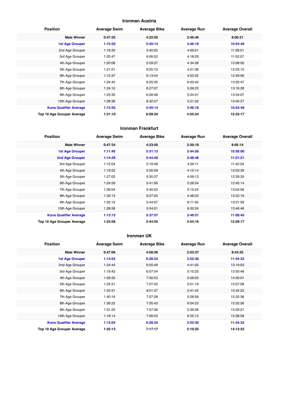## **Ironman Austria**

| <b>Position</b>               | <b>Average Swim</b> | <b>Average Bike</b> | <b>Average Run</b> | <b>Average Overall</b> |
|-------------------------------|---------------------|---------------------|--------------------|------------------------|
| <b>Male Winner</b>            | 0:47:35             | 4:22:02             | 2:46:46            | 8:00:21                |
| 1st Age Grouper               | 1:15:50             | 5:40:14             | 3:46:18            | 10:54:46               |
| 2nd Age Grouper               | 1:18:30             | 5:40:02             | 4:56:51            | 11:28:01               |
| 3rd Age Grouper               | 1:20:47             | 6:06:52             | 4:18:29            | 11:52:07               |
| 4th Age Grouper               | 1:20:06             | 5:59:37             | 4:34:38            | 12:08:50               |
| 5th Age Grouper               | 1:21:01             | 6:05:10             | 4:51:36            | 12:33:10               |
| 6th Age Grouper               | 1:15:37             | 6:13:54             | 4:53:32            | 12:49:56               |
| 7th Age Grouper               | 1:24:42             | 6:25:35             | 6:03:42            | 13:20:47               |
| 8th Age Grouper               | 1:24:10             | 6:27:07             | 5:09:23            | 13:16:28               |
| 9th Age Grouper               | 1:23:30             | 6:28:46             | 5:24:31            | 13:34:07               |
| 10th Age Grouper              | 1:28:36             | 6:32:07             | 5:21:22            | 13:40:27               |
| <b>Kona Qualifier Average</b> | 1:15:50             | 5:40:14             | 3:46:18            | 10:54:46               |
| Top 10 Age Grouper Average    | 1:21:10             | 6:09:24             | 4:55:24            | 12:32:17               |

#### **Ironman Frankfurt**

| <b>Position</b>               | <b>Average Swim</b> | <b>Average Bike</b> | <b>Average Run</b> | <b>Average Overall</b> |
|-------------------------------|---------------------|---------------------|--------------------|------------------------|
| <b>Male Winner</b>            | 0:47:34             | 4:23:50             | 2:50:18            | 8:05:14                |
| <b>1st Age Grouper</b>        | 1:11:40             | 5:31:13             | 3:44:56            | 10:58:00               |
| 2nd Age Grouper               | 1:14:49             | 5:44:40             | 3:48:46            | 11:21:21               |
| 3rd Age Grouper               | 1:12:04             | 5:19:48             | 4:39:11            | 11:42:24               |
| 4th Age Grouper               | 1:19:22             | 5:50:59             | 4:15:14            | 12:03:39               |
| 5th Age Grouper               | 1:27:02             | 5:35:37             | 4:59:13            | 12:29:35               |
| 6th Age Grouper               | 1:24:59             | 5:41:56             | 5:26:54            | 12:45:14               |
| 7th Age Grouper               | 1:36:04             | 5:40:53             | 5:15:24            | 13:04:56               |
| 8th Age Grouper               | 1:32:13             | 6:27:20             | 4:48:03            | 13:32:19               |
| 9th Age Grouper               | 1:35:12             | 5:44:07             | 6:11:40            | 13:31:59               |
| 10th Age Grouper              | 1:28:58             | 5:54:01             | 6:20:34            | 13:46:46               |
| <b>Kona Qualifier Average</b> | 1:13:15             | 5:37:57             | 3:46:51            | 11:09:40               |
| Top 10 Age Grouper Average    | 1:23:58             | 5:44:55             | 4:54:16            | 12:29:17               |

#### **Ironman UK**

| <b>Position</b>               | <b>Average Swim</b> | <b>Average Bike</b> | <b>Average Run</b> | <b>Average Overall</b> |
|-------------------------------|---------------------|---------------------|--------------------|------------------------|
| <b>Male Winner</b>            | 0:47:06             | 4:58:56             | 2:53:37            | 8:43:35                |
| <b>1st Age Grouper</b>        | 1:12:04             | 6:28:24             | 3:52:30            | 11:44:32               |
| 2nd Age Grouper               | 1:24:44             | 6:55:49             | 4:41:05            | 13:19:03               |
| 3rd Age Grouper               | 1:19:42             | 6:57:54             | 5:15:25            | 13:50:46               |
| 4th Age Grouper               | 1:29:32             | 7:30:53             | 5:09:03            | 14:30:01               |
| 5th Age Grouper               | 1:25:51             | 7:27:45             | 5:51:19            | 15:07:09               |
| 6th Age Grouper               | 1:33:31             | 8:01:37             | 5:41:40            | 15:42:22               |
| 7th Age Grouper               | 1:40:19             | 7:57:28             | 5:26:56            | 15:32:36               |
| 8th Age Grouper               | 1:26:22             | 7:35:43             | 6:04:23            | 15:32:56               |
| 9th Age Grouper               | 1:31:25             | 7:57:36             | 5:39:26            | 15:29:21               |
| 10th Age Grouper              | 1:18:14             | 7:06:03             | 6:55:13            | 15:38:58               |
| <b>Kona Qualifier Average</b> | 1:12:04             | 6:28:24             | 3:52:30            | 11:44:32               |
| Top 10 Age Grouper Average    | 1:25:13             | 7:17:17             | 5:10:25            | 14:12:52               |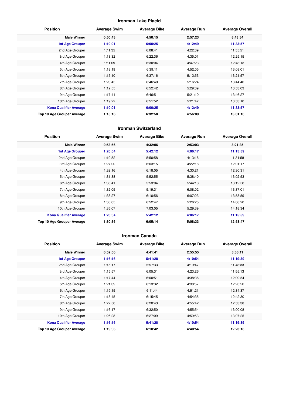## **Ironman Lake Placid**

| <b>Position</b>               | <b>Average Swim</b> | <b>Average Bike</b> | <b>Average Run</b> | <b>Average Overall</b> |
|-------------------------------|---------------------|---------------------|--------------------|------------------------|
| <b>Male Winner</b>            | 0:50:43             | 4:50:15             | 2:57:23            | 8:43:34                |
| <b>1st Age Grouper</b>        | 1:10:01             | 6:00:25             | 4:12:49            | 11:33:57               |
| 2nd Age Grouper               | 1:11:35             | 6:08:41             | 4:22:39            | 11:55:51               |
| 3rd Age Grouper               | 1:13:32             | 6:22:36             | 4:35:01            | 12:25:15               |
| 4th Age Grouper               | 1:11:09             | 6:30:04             | 4:47:23            | 12:48:13               |
| 5th Age Grouper               | 1:18:19             | 6:39:11             | 4:52:05            | 13:08:01               |
| 6th Age Grouper               | 1:15:10             | 6:37:16             | 5:12:53            | 13:21:57               |
| 7th Age Grouper               | 1:23:45             | 6:46:40             | 5:16:24            | 13:44:40               |
| 8th Age Grouper               | 1:12:55             | 6:52:42             | 5:29:39            | 13:53:03               |
| 9th Age Grouper               | 1:17:41             | 6:46:51             | 5:21:10            | 13:46:27               |
| 10th Age Grouper              | 1:19:22             | 6:51:52             | 5:21:47            | 13:53:10               |
| <b>Kona Qualifier Average</b> | 1:10:01             | 6:00:25             | 4:12:49            | 11:33:57               |
| Top 10 Age Grouper Average    | 1:15:16             | 6:32:58             | 4:56:09            | 13:01:10               |

#### **Ironman Switzerland**

| <b>Position</b>               | <b>Average Swim</b> | <b>Average Bike</b> | <b>Average Run</b> | <b>Average Overall</b> |
|-------------------------------|---------------------|---------------------|--------------------|------------------------|
| <b>Male Winner</b>            | 0:53:56             | 4:32:06             | 2:53:03            | 8:21:35                |
| <b>1st Age Grouper</b>        | 1:20:04             | 5:42:12             | 4:06:17            | 11:15:59               |
| 2nd Age Grouper               | 1:19:52             | 5:50:58             | 4:13:16            | 11:31:58               |
| 3rd Age Grouper               | 1:27:00             | 6:03:15             | 4:22:18            | 12:01:17               |
| 4th Age Grouper               | 1:32:16             | 6:18:05             | 4:30:21            | 12:30:31               |
| 5th Age Grouper               | 1:31:38             | 5:52:55             | 5:38:40            | 13:02:53               |
| 6th Age Grouper               | 1:36:41             | 5:53:04             | 5:44:18            | 13:12:58               |
| 7th Age Grouper               | 1:32:05             | 5:19:31             | 6:08:02            | 13:37:01               |
| 8th Age Grouper               | 1:38:27             | 6:10:56             | 6:07:23            | 13:58:59               |
| 9th Age Grouper               | 1:36:05             | 6:52:47             | 5:26:25            | 14:08:20               |
| 10th Age Grouper              | 1:35:07             | 7:03:05             | 5:29:39            | 14:18:34               |
| <b>Kona Qualifier Average</b> | 1:20:04             | 5:42:12             | 4:06:17            | 11:15:59               |
| Top 10 Age Grouper Average    | 1:30:36             | 6:05:14             | 5:08:33            | 12:53:47               |

#### **Ironman Canada**

| <b>Position</b>               | <b>Average Swim</b> | <b>Average Bike</b> | <b>Average Run</b> | <b>Average Overall</b> |
|-------------------------------|---------------------|---------------------|--------------------|------------------------|
| <b>Male Winner</b>            | 0:52:06             | 4:41:41             | 2:55:55            | 8:33:11                |
| <b>1st Age Grouper</b>        | 1:16:16             | 5:41:28             | 4:10:54            | 11:19:39               |
| 2nd Age Grouper               | 1:15:17             | 5:57:33             | 4:19:47            | 11:43:33               |
| 3rd Age Grouper               | 1:15:57             | 6:05:31             | 4:23:26            | 11:55:13               |
| 4th Age Grouper               | 1:17:44             | 6:00:51             | 4:38:36            | 12:09:54               |
| 5th Age Grouper               | 1:21:39             | 6:13:32             | 4:38:57            | 12:26:20               |
| 6th Age Grouper               | 1:19:15             | 6:11:44             | 4:51:21            | 12:34:37               |
| 7th Age Grouper               | 1:18:45             | 6:15:45             | 4:54:35            | 12:42:30               |
| 8th Age Grouper               | 1:22:50             | 6:20:43             | 4:55:42            | 12:53:38               |
| 9th Age Grouper               | 1:16:17             | 6:32:50             | 4:55:54            | 13:00:08               |
| 10th Age Grouper              | 1:26:28             | 6:27:09             | 4:59:53            | 13:07:25               |
| <b>Kona Qualifier Average</b> | 1:16:16             | 5:41:28             | 4:10:54            | 11:19:39               |
| Top 10 Age Grouper Average    | 1:19:03             | 6:10:42             | 4:40:54            | 12:23:18               |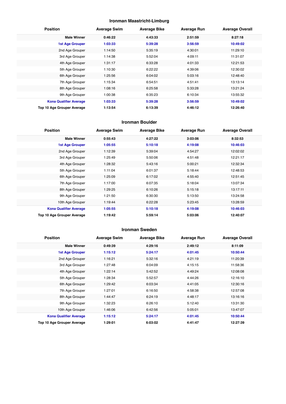## **Ironman Maastricht-Limburg**

| <b>Position</b>               | <b>Average Swim</b> | <b>Average Bike</b> | <b>Average Run</b> | <b>Average Overall</b> |
|-------------------------------|---------------------|---------------------|--------------------|------------------------|
| <b>Male Winner</b>            | 0:46:22             | 4:43:33             | 2:51:59            | 8:27:18                |
| <b>1st Age Grouper</b>        | 1:03:33             | 5:39:28             | 3:56:59            | 10:49:02               |
| 2nd Age Grouper               | 1:14:50             | 5:35:19             | 4:30:01            | 11:29:10               |
| 3rd Age Grouper               | 1:14:38             | 5:52:04             | 4:09:11            | 11:31:07               |
| 4th Age Grouper               | 1:31:17             | 6:33:28             | 4:01:33            | 12:21:53               |
| 5th Age Grouper               | 1:10:30             | 6:22:22             | 4:39:06            | 12:30:02               |
| 6th Age Grouper               | 1:25:56             | 6:04:02             | 5:03:16            | 12:48:40               |
| 7th Age Grouper               | 1:15:34             | 6:54:51             | 4:51:41            | 13:13:14               |
| 8th Age Grouper               | 1:08:16             | 6:25:58             | 5:33:28            | 13:21:24               |
| 9th Age Grouper               | 1:00:38             | 6:35:23             | 6:10:34            | 13:55:32               |
| <b>Kona Qualifier Average</b> | 1:03:33             | 5:39:28             | 3:56:59            | 10:49:02               |
| Top 10 Age Grouper Average    | 1:13:54             | 6:13:39             | 4:46:12            | 12:26:40               |

## **Ironman Boulder**

| <b>Position</b>               | <b>Average Swim</b> | <b>Average Bike</b> | <b>Average Run</b> | <b>Average Overall</b> |
|-------------------------------|---------------------|---------------------|--------------------|------------------------|
| <b>Male Winner</b>            | 0:55:43             | 4:27:22             | 3:03:06            | 8:32:53                |
| <b>1st Age Grouper</b>        | 1:05:55             | 5:10:18             | 4:19:08            | 10:46:03               |
| 2nd Age Grouper               | 1:12:39             | 5:39:04             | 4:54:27            | 12:02:02               |
| 3rd Age Grouper               | 1:25:49             | 5:50:06             | 4:51:48            | 12:21:17               |
| 4th Age Grouper               | 1:28:32             | 5:43:16             | 5:00:21            | 12:32:34               |
| 5th Age Grouper               | 1:11:04             | 6:01:37             | 5:18:44            | 12:48:53               |
| 6th Age Grouper               | 1:25:09             | 6:17:02             | 4:55:40            | 12:51:45               |
| 7th Age Grouper               | 1:17:00             | 6:07:35             | 5:18:04            | 13:07:34               |
| 8th Age Grouper               | 1:29:25             | 6:10:26             | 5:15:18            | 13:17:11               |
| 9th Age Grouper               | 1:21:50             | 6:30:30             | 5:13:50            | 13:24:58               |
| 10th Age Grouper              | 1:19:44             | 6:22:28             | 5:23:45            | 13:28:59               |
| <b>Kona Qualifier Average</b> | 1:05:55             | 5:10:18             | 4:19:08            | 10:46:03               |
| Top 10 Age Grouper Average    | 1:19:42             | 5:59:14             | 5:03:06            | 12:40:07               |

## **Ironman Sweden**

| <b>Position</b>               | <b>Average Swim</b> | <b>Average Bike</b> | <b>Average Run</b> | <b>Average Overall</b> |
|-------------------------------|---------------------|---------------------|--------------------|------------------------|
| <b>Male Winner</b>            | 0:49:39             | 4:29:16             | 2:49:12            | 8:11:09                |
| <b>1st Age Grouper</b>        | 1:15:12             | 5:24:17             | 4:01:45            | 10:50:44               |
| 2nd Age Grouper               | 1:16:21             | 5:32:16             | 4:21:19            | 11:20:39               |
| 3rd Age Grouper               | 1:27:48             | 6:04:09             | 4:15:15            | 11:58:36               |
| 4th Age Grouper               | 1:22:14             | 5:42:52             | 4:49:24            | 12:08:08               |
| 5th Age Grouper               | 1:28:34             | 5:52:57             | 4:44:26            | 12:16:10               |
| 6th Age Grouper               | 1:29:42             | 6:03:34             | 4:41:05            | 12:30:16               |
| 7th Age Grouper               | 1:27:01             | 6:16:50             | 4:58:38            | 12:57:08               |
| 8th Age Grouper               | 1:44:47             | 6:24:19             | 4:48:17            | 13:16:16               |
| 9th Age Grouper               | 1:32:23             | 6:26:10             | 5:12:40            | 13:31:30               |
| 10th Age Grouper              | 1:46:06             | 6:42:56             | 5:05:01            | 13:47:07               |
| <b>Kona Qualifier Average</b> | 1:15:12             | 5:24:17             | 4:01:45            | 10:50:44               |
| Top 10 Age Grouper Average    | 1:29:01             | 6:03:02             | 4:41:47            | 12:27:39               |